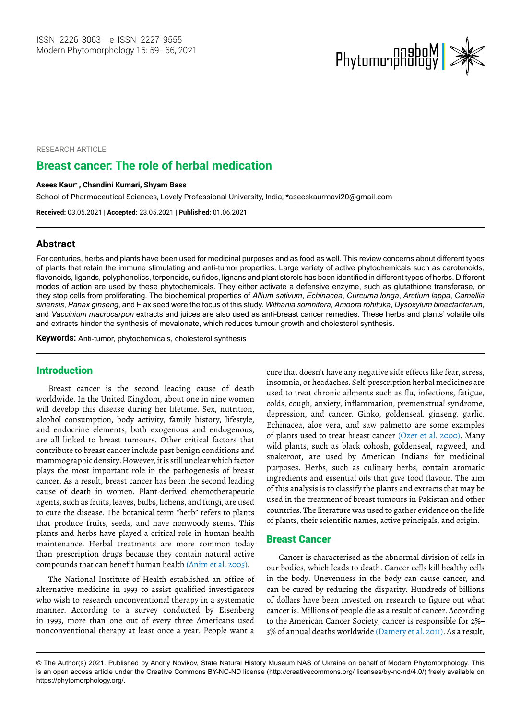

RESEARCH ARTICLE

# **Breast cancer: The role of herbal medication**

#### **Asees Kaur\* , Chandini Kumari, Shyam Bass**

School of Pharmaceutical Sciences, Lovely Professional University, India; [\\*aseeskaurmavi20@gmail.com](mailto:aseeskaurmavi20@gmail.com)

**Received:** 03.05.2021 | **Accepted:** 23.05.2021 | **Published:** 01.06.2021

### **Abstract**

For centuries, herbs and plants have been used for medicinal purposes and as food as well. This review concerns about different types of plants that retain the immune stimulating and anti-tumor properties. Large variety of active phytochemicals such as carotenoids, flavonoids, ligands, polyphenolics, terpenoids, sulfides, lignans and plant sterols has been identified in different types of herbs. Different modes of action are used by these phytochemicals. They either activate a defensive enzyme, such as glutathione transferase, or they stop cells from proliferating. The biochemical properties of *Allium sativum*, *Echinacea*, *Curcuma longa*, *Arctium lappa*, *Camellia sinensis*, *Panax ginseng*, and Flax seed were the focus of this study. *Withania somnifera*, *Amoora rohituka*, *Dysoxylum binectariferum*, and *Vaccinium macrocarpon* extracts and juices are also used as anti-breast cancer remedies. These herbs and plants' volatile oils and extracts hinder the synthesis of mevalonate, which reduces tumour growth and cholesterol synthesis.

**Keywords:** Anti-tumor, phytochemicals, cholesterol synthesis

## Introduction

Breast cancer is the second leading cause of death worldwide. In the United Kingdom, about one in nine women will develop this disease during her lifetime. Sex, nutrition, alcohol consumption, body activity, family history, lifestyle, and endocrine elements, both exogenous and endogenous, are all linked to breast tumours. Other critical factors that contribute to breast cancer include past benign conditions and mammographic density. However, it is still unclear which factor plays the most important role in the pathogenesis of breast cancer. As a result, breast cancer has been the second leading cause of death in women. Plant-derived chemotherapeutic agents, such as fruits, leaves, bulbs, lichens, and fungi, are used to cure the disease. The botanical term "herb" refers to plants that produce fruits, seeds, and have nonwoody stems. This plants and herbs have played a critical role in human health maintenance. Herbal treatments are more common today than prescription drugs because they contain natural active compounds that can benefit human health (Anim et al. 2005).

The National Institute of Health established an office of alternative medicine in 1993 to assist qualified investigators who wish to research unconventional therapy in a systematic manner. According to a survey conducted by Eisenberg in 1993, more than one out of every three Americans used nonconventional therapy at least once a year. People want a

cure that doesn't have any negative side effects like fear, stress, insomnia, or headaches. Self-prescription herbal medicines are used to treat chronic ailments such as flu, infections, fatigue, colds, cough, anxiety, inflammation, premenstrual syndrome, depression, and cancer. Ginko, goldenseal, ginseng, garlic, Echinacea, aloe vera, and saw palmetto are some examples of plants used to treat breast cancer (Ozer et al. 2000). Many wild plants, such as black cohosh, goldenseal, ragweed, and snakeroot, are used by American Indians for medicinal purposes. Herbs, such as culinary herbs, contain aromatic ingredients and essential oils that give food flavour. The aim of this analysis is to classify the plants and extracts that may be used in the treatment of breast tumours in Pakistan and other countries. The literature was used to gather evidence on the life of plants, their scientific names, active principals, and origin.

### Breast Cancer

Cancer is characterised as the abnormal division of cells in our bodies, which leads to death. Cancer cells kill healthy cells in the body. Unevenness in the body can cause cancer, and can be cured by reducing the disparity. Hundreds of billions of dollars have been invested on research to figure out what cancer is. Millions of people die as a result of cancer. According to the American Cancer Society, cancer is responsible for 2%– 3% of annual deaths worldwide (Damery et al. 2011). As a result,

<sup>©</sup> The Author(s) 2021. Published by Andriy Novikov, State Natural History Museum NAS of Ukraine on behalf of Modern Phytomorphology. This is an open access article under the Creative Commons BY-NC-ND license (http://creativecommons.org/ licenses/by-nc-nd/4.0/) freely available on https://phytomorphology.org/.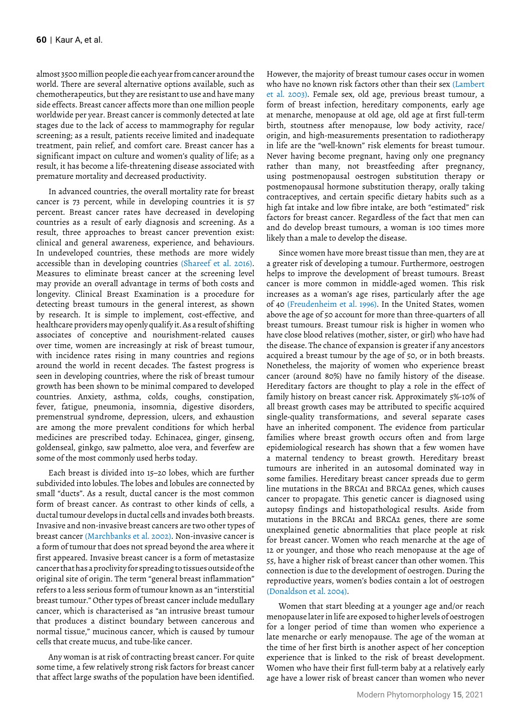almost 3500 million people die each year from cancer around the world. There are several alternative options available, such as chemotherapeutics, but they are resistant to use and have many side effects. Breast cancer affects more than one million people worldwide per year. Breast cancer is commonly detected at late stages due to the lack of access to mammography for regular screening; as a result, patients receive limited and inadequate treatment, pain relief, and comfort care. Breast cancer has a significant impact on culture and women's quality of life; as a result, it has become a life-threatening disease associated with premature mortality and decreased productivity.

In advanced countries, the overall mortality rate for breast cancer is 73 percent, while in developing countries it is 57 percent. Breast cancer rates have decreased in developing countries as a result of early diagnosis and screening. As a result, three approaches to breast cancer prevention exist: clinical and general awareness, experience, and behaviours. In undeveloped countries, these methods are more widely accessible than in developing countries (Shareef et al. 2016). Measures to eliminate breast cancer at the screening level may provide an overall advantage in terms of both costs and longevity. Clinical Breast Examination is a procedure for detecting breast tumours in the general interest, as shown by research. It is simple to implement, cost-effective, and healthcare providers may openly qualify it. As a result of shifting associates of conceptive and nourishment-related causes over time, women are increasingly at risk of breast tumour, with incidence rates rising in many countries and regions around the world in recent decades. The fastest progress is seen in developing countries, where the risk of breast tumour growth has been shown to be minimal compared to developed countries. Anxiety, asthma, colds, coughs, constipation, fever, fatigue, pneumonia, insomnia, digestive disorders, premenstrual syndrome, depression, ulcers, and exhaustion are among the more prevalent conditions for which herbal medicines are prescribed today. Echinacea, ginger, ginseng, goldenseal, ginkgo, saw palmetto, aloe vera, and feverfew are some of the most commonly used herbs today.

Each breast is divided into 15–20 lobes, which are further subdivided into lobules. The lobes and lobules are connected by small "ducts". As a result, ductal cancer is the most common form of breast cancer. As contrast to other kinds of cells, a ductal tumour develops in ductal cells and invades both breasts. Invasive and non-invasive breast cancers are two other types of breast cancer (Marchbanks et al. 2002). Non-invasive cancer is a form of tumour that does not spread beyond the area where it first appeared. Invasive breast cancer is a form of metastasize cancer that has a proclivity for spreading to tissues outside of the original site of origin. The term "general breast inflammation" refers to a less serious form of tumour known as an "interstitial breast tumour." Other types of breast cancer include medullary cancer, which is characterised as "an intrusive breast tumour that produces a distinct boundary between cancerous and normal tissue," mucinous cancer, which is caused by tumour cells that create mucus, and tube-like cancer.

Any woman is at risk of contracting breast cancer. For quite some time, a few relatively strong risk factors for breast cancer that affect large swaths of the population have been identified.

However, the majority of breast tumour cases occur in women who have no known risk factors other than their sex (Lambert et al. 2003). Female sex, old age, previous breast tumour, a form of breast infection, hereditary components, early age at menarche, menopause at old age, old age at first full-term birth, stoutness after menopause, low body activity, race/ origin, and high-measurements presentation to radiotherapy in life are the "well-known" risk elements for breast tumour. Never having become pregnant, having only one pregnancy rather than many, not breastfeeding after pregnancy, using postmenopausal oestrogen substitution therapy or postmenopausal hormone substitution therapy, orally taking contraceptives, and certain specific dietary habits such as a high fat intake and low fibre intake, are both "estimated" risk factors for breast cancer. Regardless of the fact that men can and do develop breast tumours, a woman is 100 times more likely than a male to develop the disease.

Since women have more breast tissue than men, they are at a greater risk of developing a tumour. Furthermore, oestrogen helps to improve the development of breast tumours. Breast cancer is more common in middle-aged women. This risk increases as a woman's age rises, particularly after the age of 40 (Freudenheim et al. 1996). In the United States, women above the age of 50 account for more than three-quarters of all breast tumours. Breast tumour risk is higher in women who have close blood relatives (mother, sister, or girl) who have had the disease. The chance of expansion is greater if any ancestors acquired a breast tumour by the age of 50, or in both breasts. Nonetheless, the majority of women who experience breast cancer (around 80%) have no family history of the disease. Hereditary factors are thought to play a role in the effect of family history on breast cancer risk. Approximately 5%-10% of all breast growth cases may be attributed to specific acquired single-quality transformations, and several separate cases have an inherited component. The evidence from particular families where breast growth occurs often and from large epidemiological research has shown that a few women have a maternal tendency to breast growth. Hereditary breast tumours are inherited in an autosomal dominated way in some families. Hereditary breast cancer spreads due to germ line mutations in the BRCA1 and BRCA2 genes, which causes cancer to propagate. This genetic cancer is diagnosed using autopsy findings and histopathological results. Aside from mutations in the BRCA1 and BRCA2 genes, there are some unexplained genetic abnormalities that place people at risk for breast cancer. Women who reach menarche at the age of 12 or younger, and those who reach menopause at the age of 55, have a higher risk of breast cancer than other women. This connection is due to the development of oestrogen. During the reproductive years, women's bodies contain a lot of oestrogen (Donaldson et al. 2004).

Women that start bleeding at a younger age and/or reach menopause later in life are exposed to higher levels of oestrogen for a longer period of time than women who experience a late menarche or early menopause. The age of the woman at the time of her first birth is another aspect of her conception experience that is linked to the risk of breast development. Women who have their first full-term baby at a relatively early age have a lower risk of breast cancer than women who never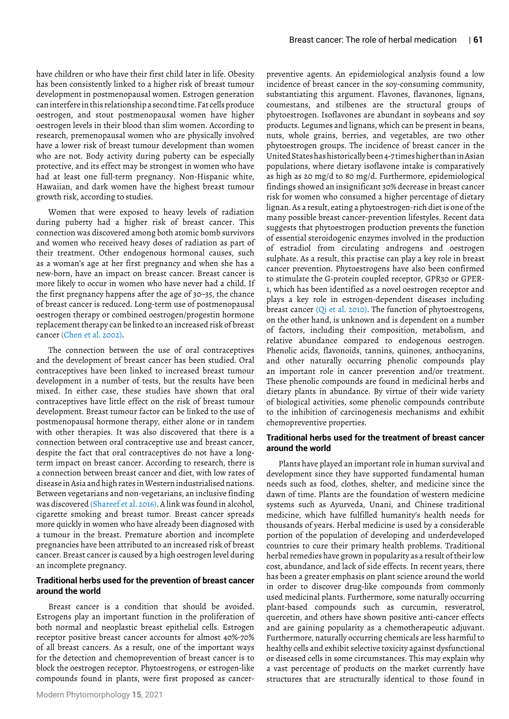have children or who have their first child later in life. Obesity has been consistently linked to a higher risk of breast tumour development in postmenopausal women. Estrogen generation can interfere in this relationship a second time. Fat cells produce oestrogen, and stout postmenopausal women have higher oestrogen levels in their blood than slim women. According to research, premenopausal women who are physically involved have a lower risk of breast tumour development than women who are not. Body activity during puberty can be especially protective, and its effect may be strongest in women who have had at least one full-term pregnancy. Non-Hispanic white, Hawaiian, and dark women have the highest breast tumour growth risk, according to studies.

Women that were exposed to heavy levels of radiation during puberty had a higher risk of breast cancer. This connection was discovered among both atomic bomb survivors and women who received heavy doses of radiation as part of their treatment. Other endogenous hormonal causes, such as a woman's age at her first pregnancy and when she has a new-born, have an impact on breast cancer. Breast cancer is more likely to occur in women who have never had a child. If the first pregnancy happens after the age of 30–35, the chance of breast cancer is reduced. Long-term use of postmenopausal oestrogen therapy or combined oestrogen/progestin hormone replacement therapy can be linked to an increased risk of breast cancer (Chen et al. 2002).

The connection between the use of oral contraceptives and the development of breast cancer has been studied. Oral contraceptives have been linked to increased breast tumour development in a number of tests, but the results have been mixed. In either case, these studies have shown that oral contraceptives have little effect on the risk of breast tumour development. Breast tumour factor can be linked to the use of postmenopausal hormone therapy, either alone or in tandem with other therapies. It was also discovered that there is a connection between oral contraceptive use and breast cancer, despite the fact that oral contraceptives do not have a longterm impact on breast cancer. According to research, there is a connection between breast cancer and diet, with low rates of disease in Asia and high rates in Western industrialised nations. Between vegetarians and non-vegetarians, an inclusive finding was discovered (Shareef et al. 2016). A link was found in alcohol, cigarette smoking and breast tumor. Breast cancer spreads more quickly in women who have already been diagnosed with a tumour in the breast. Premature abortion and incomplete pregnancies have been attributed to an increased risk of breast cancer. Breast cancer is caused by a high oestrogen level during an incomplete pregnancy.

### **Traditional herbs used for the prevention of breast cancer around the world**

Breast cancer is a condition that should be avoided. Estrogens play an important function in the proliferation of both normal and neoplastic breast epithelial cells. Estrogen receptor positive breast cancer accounts for almost 40%-70% of all breast cancers. As a result, one of the important ways for the detection and chemoprevention of breast cancer is to block the oestrogen receptor. Phytoestrogens, or estrogen-like compounds found in plants, were first proposed as cancerpreventive agents. An epidemiological analysis found a low incidence of breast cancer in the soy-consuming community, substantiating this argument. Flavones, flavanones, lignans, coumestans, and stilbenes are the structural groups of phytoestrogen. Isoflavones are abundant in soybeans and soy products. Legumes and lignans, which can be present in beans, nuts, whole grains, berries, and vegetables, are two other phytoestrogen groups. The incidence of breast cancer in the United States has historically been 4-7 times higher than in Asian populations, where dietary isoflavone intake is comparatively as high as 20 mg/d to 80 mg/d. Furthermore, epidemiological findings showed an insignificant 30% decrease in breast cancer risk for women who consumed a higher percentage of dietary lignan. As a result, eating a phytoestrogen-rich diet is one of the many possible breast cancer-prevention lifestyles. Recent data suggests that phytoestrogen production prevents the function of essential steroidogenic enzymes involved in the production of estradiol from circulating androgens and oestrogen sulphate. As a result, this practise can play a key role in breast cancer prevention. Phytoestrogens have also been confirmed to stimulate the G-protein coupled receptor, GPR30 or GPER-1, which has been identified as a novel oestrogen receptor and plays a key role in estrogen-dependent diseases including breast cancer (Qi et al. 2010). The function of phytoestrogens, on the other hand, is unknown and is dependent on a number of factors, including their composition, metabolism, and relative abundance compared to endogenous oestrogen. Phenolic acids, flavonoids, tannins, quinones, anthocyanins, and other naturally occurring phenolic compounds play an important role in cancer prevention and/or treatment. These phenolic compounds are found in medicinal herbs and dietary plants in abundance. By virtue of their wide variety of biological activities, some phenolic compounds contribute to the inhibition of carcinogenesis mechanisms and exhibit chemopreventive properties.

## **Traditional herbs used for the treatment of breast cancer around the world**

Plants have played an important role in human survival and development since they have supported fundamental human needs such as food, clothes, shelter, and medicine since the dawn of time. Plants are the foundation of western medicine systems such as Ayurveda, Unani, and Chinese traditional medicine, which have fulfilled humanity's health needs for thousands of years. Herbal medicine is used by a considerable portion of the population of developing and underdeveloped countries to cure their primary health problems. Traditional herbal remedies have grown in popularity as a result of their low cost, abundance, and lack of side effects. In recent years, there has been a greater emphasis on plant science around the world in order to discover drug-like compounds from commonly used medicinal plants. Furthermore, some naturally occurring plant-based compounds such as curcumin, resveratrol, quercetin, and others have shown positive anti-cancer effects and are gaining popularity as a chemotherapeutic adjuvant. Furthermore, naturally occurring chemicals are less harmful to healthy cells and exhibit selective toxicity against dysfunctional or diseased cells in some circumstances. This may explain why a vast percentage of products on the market currently have structures that are structurally identical to those found in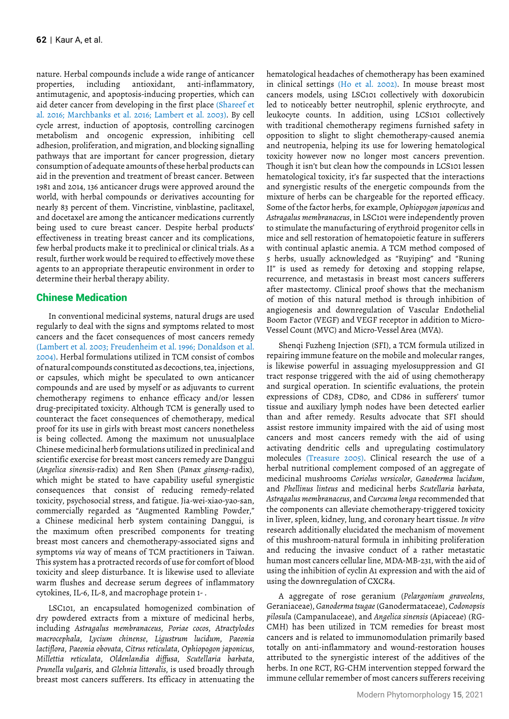nature. Herbal compounds include a wide range of anticancer properties, including antioxidant, anti-inflammatory, antimutagenic, and apoptosis-inducing properties, which can aid deter cancer from developing in the first place (Shareef et al. 2016; Marchbanks et al. 2016; Lambert et al. 2003). By cell cycle arrest, induction of apoptosis, controlling carcinogen metabolism and oncogenic expression, inhibiting cell adhesion, proliferation, and migration, and blocking signalling pathways that are important for cancer progression, dietary consumption of adequate amounts of these herbal products can aid in the prevention and treatment of breast cancer. Between 1981 and 2014, 136 anticancer drugs were approved around the world, with herbal compounds or derivatives accounting for nearly 83 percent of them. Vincristine, vinblastine, paclitaxel, and docetaxel are among the anticancer medications currently being used to cure breast cancer. Despite herbal products' effectiveness in treating breast cancer and its complications, few herbal products make it to preclinical or clinical trials. As a result, further work would be required to effectively move these agents to an appropriate therapeutic environment in order to determine their herbal therapy ability.

## Chinese Medication

In conventional medicinal systems, natural drugs are used regularly to deal with the signs and symptoms related to most cancers and the facet consequences of most cancers remedy (Lambert et al. 2003; Freudenheim et al. 1996; Donaldson et al. 2004). Herbal formulations utilized in TCM consist of combos of natural compounds constituted as decoctions, tea, injections, or capsules, which might be speculated to own anticancer compounds and are used by myself or as adjuvants to current chemotherapy regimens to enhance efficacy and/or lessen drug-precipitated toxicity. Although TCM is generally used to counteract the facet consequences of chemotherapy, medical proof for its use in girls with breast most cancers nonetheless is being collected. Among the maximum not unusualplace Chinese medicinal herb formulations utilized in preclinical and scientific exercise for breast most cancers remedy are Danggui (*Angelica sinensis*-radix) and Ren Shen (*Panax ginseng*-radix), which might be stated to have capability useful synergistic consequences that consist of reducing remedy-related toxicity, psychosocial stress, and fatigue. Jia-wei-xiao-yao-san, commercially regarded as "Augmented Rambling Powder," a Chinese medicinal herb system containing Danggui, is the maximum often prescribed components for treating breast most cancers and chemotherapy-associated signs and symptoms *via* way of means of TCM practitioners in Taiwan. This system has a protracted records of use for comfort of blood toxicity and sleep disturbance. It is likewise used to alleviate warm flushes and decrease serum degrees of inflammatory cytokines, IL-6, IL-8, and macrophage protein 1-.

LSC101, an encapsulated homogenized combination of dry powdered extracts from a mixture of medicinal herbs, including *Astragalus membranaceus*, *Poriae cocos*, *Atractylodes macrocephala*, *Lycium chinense*, *Ligustrum lucidum*, *Paeonia lactiflora*, *Paeonia obovata*, *Citrus reticulata*, *Ophiopogon japonicus*, *Millettia reticulata*, *Oldenlandia diffusa*, *Scutellaria barbata*, *Prunella vulgaris*, and *Glehnia littoralis*, is used broadly through breast most cancers sufferers. Its efficacy in attenuating the

hematological headaches of chemotherapy has been examined in clinical settings (Ho et al. 2002). In mouse breast most cancers models, using LSC101 collectively with doxorubicin led to noticeably better neutrophil, splenic erythrocyte, and leukocyte counts. In addition, using LCS101 collectively with traditional chemotherapy regimens furnished safety in opposition to slight to slight chemotherapy-caused anemia and neutropenia, helping its use for lowering hematological toxicity however now no longer most cancers prevention. Though it isn't but clean how the compounds in LCS101 lessen hematological toxicity, it's far suspected that the interactions and synergistic results of the energetic compounds from the mixture of herbs can be chargeable for the reported efficacy. Some of the factor herbs, for example, *Ophiopogon japonicus* and *Astragalus membranaceus*, in LSC101 were independently proven to stimulate the manufacturing of erythroid progenitor cells in mice and sell restoration of hematopoietic feature in sufferers with continual aplastic anemia. A TCM method composed of 5 herbs, usually acknowledged as "Ruyiping" and "Runing II" is used as remedy for detoxing and stopping relapse, recurrence, and metastasis in breast most cancers sufferers after mastectomy. Clinical proof shows that the mechanism of motion of this natural method is through inhibition of angiogenesis and downregulation of Vascular Endothelial Boom Factor (VEGF) and VEGF receptor in addition to Micro-Vessel Count (MVC) and Micro-Vessel Area (MVA).

Shenqi Fuzheng Injection (SFI), a TCM formula utilized in repairing immune feature on the mobile and molecular ranges, is likewise powerful in assuaging myelosuppression and GI tract response triggered with the aid of using chemotherapy and surgical operation. In scientific evaluations, the protein expressions of CD83, CD80, and CD86 in sufferers' tumor tissue and auxiliary lymph nodes have been detected earlier than and after remedy. Results advocate that SFI should assist restore immunity impaired with the aid of using most cancers and most cancers remedy with the aid of using activating dendritic cells and upregulating costimulatory molecules (Treasure 2005). Clinical research the use of a herbal nutritional complement composed of an aggregate of medicinal mushrooms *Coriolus versicolor*, *Ganoderma lucidum*, and *Phellinus linteus* and medicinal herbs *Scutellaria barbata*, *Astragalus membranaceus*, and *Curcuma longa* recommended that the components can alleviate chemotherapy-triggered toxicity in liver, spleen, kidney, lung, and coronary heart tissue. *In vitro* research additionally elucidated the mechanism of movement of this mushroom-natural formula in inhibiting proliferation and reducing the invasive conduct of a rather metastatic human most cancers cellular line, MDA-MB-231, with the aid of using the inhibition of cyclin A1 expression and with the aid of using the downregulation of CXCR4.

A aggregate of rose geranium (*Pelargonium graveolens*, Geraniaceae), *Ganoderma tsugae* (Ganodermataceae), *Codonopsis pilosul*a (Campanulaceae), and *Angelica sinensis* (Apiaceae) (RG-CMH) has been utilized in TCM remedies for breast most cancers and is related to immunomodulation primarily based totally on anti-inflammatory and wound-restoration houses attributed to the synergistic interest of the additives of the herbs. In one RCT, RG-CHM intervention stepped forward the immune cellular remember of most cancers sufferers receiving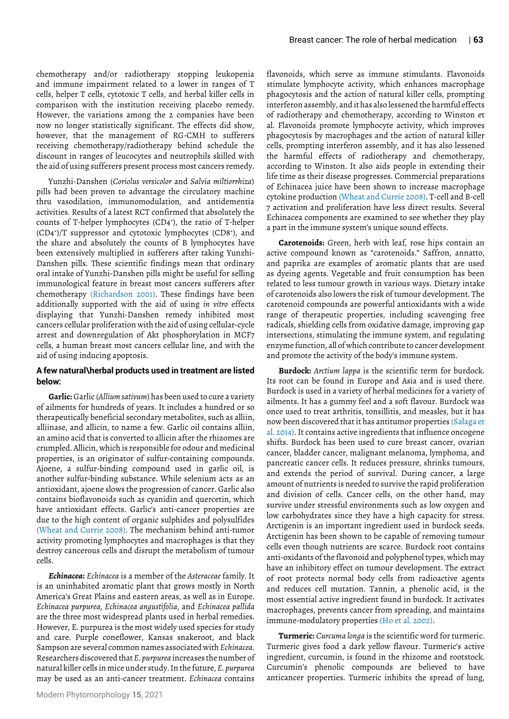chemotherapy and/or radiotherapy stopping leukopenia and immune impairment related to a lower in ranges of T cells, helper T cells, cytotoxic T cells, and herbal killer cells in comparison with the institution receiving placebo remedy. However, the variations among the 2 companies have been now no longer statistically significant. The effects did show, however, that the management of RG-CMH to sufferers receiving chemotherapy/radiotherapy behind schedule the discount in ranges of leucocytes and neutrophils skilled with the aid of using sufferers present process most cancers remedy.

Yunzhi-Danshen (*Coriolus versicolor* and *Salvia miltiorrhiza*) pills had been proven to advantage the circulatory machine thru vasodilation, immunomodulation, and antidementia activities. Results of a latest RCT confirmed that absolutely the counts of T-helper lymphocytes (CD4+ ), the ratio of T-helper (CD4+ )/T suppressor and cytotoxic lymphocytes (CD8+ ), and the share and absolutely the counts of B lymphocytes have been extensively multiplied in sufferers after taking Yunzhi-Danshen pills. These scientific findings mean that ordinary oral intake of Yunzhi-Danshen pills might be useful for selling immunological feature in breast most cancers sufferers after chemotherapy (Richardson 2001). These findings have been additionally supported with the aid of using *in vitro* effects displaying that Yunzhi-Danshen remedy inhibited most cancers cellular proliferation with the aid of using cellular-cycle arrest and downregulation of Akt phosphorylation in MCF7 cells, a human breast most cancers cellular line, and with the aid of using inducing apoptosis.

#### **A few natural\herbal products used in treatment are listed below:**

**Garlic:** Garlic (*Allium sativum*) has been used to cure a variety of ailments for hundreds of years. It includes a hundred or so therapeutically beneficial secondary metabolites, such as alliin, alliinase, and allicin, to name a few. Garlic oil contains alliin, an amino acid that is converted to allicin after the rhizomes are crumpled. Allicin, which is responsible for odour and medicinal properties, is an originator of sulfur-containing compounds. Ajoene, a sulfur-binding compound used in garlic oil, is another sulfur-binding substance. While selenium acts as an antioxidant, ajoene slows the progression of cancer. Garlic also contains bioflavonoids such as cyanidin and quercetin, which have antioxidant effects. Garlic's anti-cancer properties are due to the high content of organic sulphides and polysulfides (Wheat and Currie 2008). The mechanism behind anti-tumor activity promoting lymphocytes and macrophages is that they destroy cancerous cells and disrupt the metabolism of tumour cells.

*Echinacea***:** *Echinacea* is a member of the *Asteraceae* family. It is an uninhabited aromatic plant that grows mostly in North America's Great Plains and eastern areas, as well as in Europe. *Echinacea purpurea*, *Echinacea angustifolia*, and *Echinacea pallida* are the three most widespread plants used in herbal remedies. However, E. purpurea is the most widely used species for study and care. Purple coneflower, Kansas snakeroot, and black Sampson are several common names associated with *Echinacea*. Researchers discovered that *E. purpurea* increases the number of natural killer cells in mice under study. In the future, *E. purpurea* may be used as an anti-cancer treatment. *Echinacea* contains

flavonoids, which serve as immune stimulants. Flavonoids stimulate lymphocyte activity, which enhances macrophage phagocytosis and the action of natural killer cells, prompting interferon assembly, and it has also lessened the harmful effects of radiotherapy and chemotherapy, according to Winston et al. Flavonoids promote lymphocyte activity, which improves phagocytosis by macrophages and the action of natural killer cells, prompting interferon assembly, and it has also lessened the harmful effects of radiotherapy and chemotherapy, according to Winston. It also aids people in extending their life time as their disease progresses. Commercial preparations of Echinacea juice have been shown to increase macrophage cytokine production (Wheat and Currie 2008). T-cell and B-cell 7 activation and proliferation have less direct results. Several Echinacea components are examined to see whether they play a part in the immune system's unique sound effects.

**Carotenoids:** Green, herb with leaf, rose hips contain an active compound known as "carotenoids." Saffron, annatto, and paprika are examples of aromatic plants that are used as dyeing agents. Vegetable and fruit consumption has been related to less tumour growth in various ways. Dietary intake of carotenoids also lowers the risk of tumour development. The carotenoid compounds are powerful antioxidants with a wide range of therapeutic properties, including scavenging free radicals, shielding cells from oxidative damage, improving gap intersections, stimulating the immune system, and regulating enzyme function, all of which contribute to cancer development and promote the activity of the body's immune system.

**Burdock:** *Arctium lappa* is the scientific term for burdock. Its root can be found in Europe and Asia and is used there. Burdock is used in a variety of herbal medicines for a variety of ailments. It has a gummy feel and a soft flavour. Burdock was once used to treat arthritis, tonsillitis, and measles, but it has now been discovered that it has antitumor properties (Sałaga et al. 2014). It contains active ingredients that influence oncogene shifts. Burdock has been used to cure breast cancer, ovarian cancer, bladder cancer, malignant melanoma, lymphoma, and pancreatic cancer cells. It reduces pressure, shrinks tumours, and extends the period of survival. During cancer, a large amount of nutrients is needed to survive the rapid proliferation and division of cells. Cancer cells, on the other hand, may survive under stressful environments such as low oxygen and low carbohydrates since they have a high capacity for stress. Arctigenin is an important ingredient used in burdock seeds. Arctigenin has been shown to be capable of removing tumour cells even though nutrients are scarce. Burdock root contains anti-oxidants of the flavonoid and polyphenol types, which may have an inhibitory effect on tumour development. The extract of root protects normal body cells from radioactive agents and reduces cell mutation. Tannin, a phenolic acid, is the most essential active ingredient found in burdock. It activates macrophages, prevents cancer from spreading, and maintains immune-modulatory properties (Ho et al. 2002).

**Turmeric:** *Curcuma longa* is the scientific word for turmeric. Turmeric gives food a dark yellow flavour. Turmeric's active ingredient, curcumin, is found in the rhizome and rootstock. Curcumin's phenolic compounds are believed to have anticancer properties. Turmeric inhibits the spread of lung,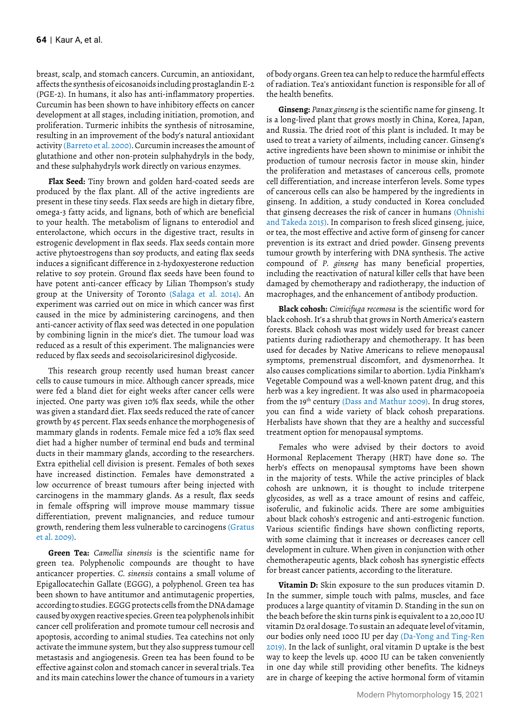breast, scalp, and stomach cancers. Curcumin, an antioxidant, affects the synthesis of eicosanoids including prostaglandin E-2 (PGE-2). In humans, it also has anti-inflammatory properties. Curcumin has been shown to have inhibitory effects on cancer development at all stages, including initiation, promotion, and proliferation. Turmeric inhibits the synthesis of nitrosamine, resulting in an improvement of the body's natural antioxidant activity (Barreto et al. 2000). Curcumin increases the amount of glutathione and other non-protein sulphahydryls in the body, and these sulphahydryls work directly on various enzymes.

**Flax Seed:** Tiny brown and golden hard-coated seeds are produced by the flax plant. All of the active ingredients are present in these tiny seeds. Flax seeds are high in dietary fibre, omega-3 fatty acids, and lignans, both of which are beneficial to your health. The metabolism of lignans to enterodiol and enterolactone, which occurs in the digestive tract, results in estrogenic development in flax seeds. Flax seeds contain more active phytoestrogens than soy products, and eating flax seeds induces a significant difference in 2-hydoxyesterone reduction relative to soy protein. Ground flax seeds have been found to have potent anti-cancer efficacy by Lilian Thompson's study group at the University of Toronto (Sałaga et al. 2014). An experiment was carried out on mice in which cancer was first caused in the mice by administering carcinogens, and then anti-cancer activity of flax seed was detected in one population by combining lignin in the mice's diet. The tumour load was reduced as a result of this experiment. The malignancies were reduced by flax seeds and secoisolariciresinol diglycoside.

This research group recently used human breast cancer cells to cause tumours in mice. Although cancer spreads, mice were fed a bland diet for eight weeks after cancer cells were injected. One party was given 10% flax seeds, while the other was given a standard diet. Flax seeds reduced the rate of cancer growth by 45 percent. Flax seeds enhance the morphogenesis of mammary glands in rodents. Female mice fed a 10% flax seed diet had a higher number of terminal end buds and terminal ducts in their mammary glands, according to the researchers. Extra epithelial cell division is present. Females of both sexes have increased distinction. Females have demonstrated a low occurrence of breast tumours after being injected with carcinogens in the mammary glands. As a result, flax seeds in female offspring will improve mouse mammary tissue differentiation, prevent malignancies, and reduce tumour growth, rendering them less vulnerable to carcinogens (Gratus et al. 2009).

**Green Tea:** *Camellia sinensis* is the scientific name for green tea. Polyphenolic compounds are thought to have anticancer properties. *C. sinensis* contains a small volume of Epigallocatechin Gallate (EGGG), a polyphenol. Green tea has been shown to have antitumor and antimutagenic properties, according to studies. EGGG protects cells from the DNA damage caused by oxygen reactive species. Green tea polyphenols inhibit cancer cell proliferation and promote tumour cell necrosis and apoptosis, according to animal studies. Tea catechins not only activate the immune system, but they also suppress tumour cell metastasis and angiogenesis. Green tea has been found to be effective against colon and stomach cancer in several trials. Tea and its main catechins lower the chance of tumours in a variety

of body organs. Green tea can help to reduce the harmful effects of radiation. Tea's antioxidant function is responsible for all of the health benefits.

**Ginseng:** *Panax ginseng* is the scientific name for ginseng. It is a long-lived plant that grows mostly in China, Korea, Japan, and Russia. The dried root of this plant is included. It may be used to treat a variety of ailments, including cancer. Ginseng's active ingredients have been shown to minimise or inhibit the production of tumour necrosis factor in mouse skin, hinder the proliferation and metastases of cancerous cells, promote cell differentiation, and increase interferon levels. Some types of cancerous cells can also be hampered by the ingredients in ginseng. In addition, a study conducted in Korea concluded that ginseng decreases the risk of cancer in humans (Ohnishi and Takeda 2015). In comparison to fresh sliced ginseng, juice, or tea, the most effective and active form of ginseng for cancer prevention is its extract and dried powder. Ginseng prevents tumour growth by interfering with DNA synthesis. The active compound of *P. ginseng* has many beneficial properties, including the reactivation of natural killer cells that have been damaged by chemotherapy and radiotherapy, the induction of macrophages, and the enhancement of antibody production.

**Black cohosh:** *Cimicifuga recemosa* is the scientific word for black cohosh. It's a shrub that grows in North America's eastern forests. Black cohosh was most widely used for breast cancer patients during radiotherapy and chemotherapy. It has been used for decades by Native Americans to relieve menopausal symptoms, premenstrual discomfort, and dysmenorrhea. It also causes complications similar to abortion. Lydia Pinkham's Vegetable Compound was a well-known patent drug, and this herb was a key ingredient. It was also used in pharmacopoeia from the 19<sup>th</sup> century (Dass and Mathur 2009). In drug stores, you can find a wide variety of black cohosh preparations. Herbalists have shown that they are a healthy and successful treatment option for menopausal symptoms.

Females who were advised by their doctors to avoid Hormonal Replacement Therapy (HRT) have done so. The herb's effects on menopausal symptoms have been shown in the majority of tests. While the active principles of black cohosh are unknown, it is thought to include triterpene glycosides, as well as a trace amount of resins and caffeic, isoferulic, and fukinolic acids. There are some ambiguities about black cohosh's estrogenic and anti-estrogenic function. Various scientific findings have shown conflicting reports, with some claiming that it increases or decreases cancer cell development in culture. When given in conjunction with other chemotherapeutic agents, black cohosh has synergistic effects for breast cancer patients, according to the literature.

**Vitamin D:** Skin exposure to the sun produces vitamin D. In the summer, simple touch with palms, muscles, and face produces a large quantity of vitamin D. Standing in the sun on the beach before the skin turns pink is equivalent to a 20,000 IU vitamin D2 oral dosage. To sustain an adequate level of vitamin, our bodies only need 1000 IU per day (Da-Yong and Ting-Ren 2019). In the lack of sunlight, oral vitamin D uptake is the best way to keep the levels up. 4000 IU can be taken conveniently in one day while still providing other benefits. The kidneys are in charge of keeping the active hormonal form of vitamin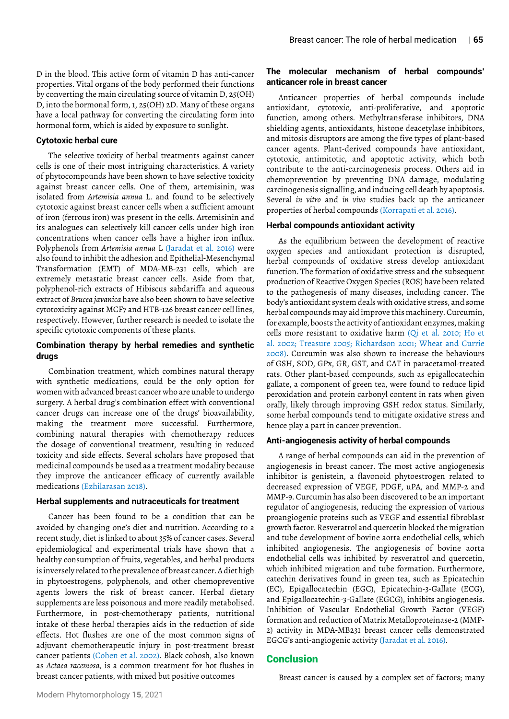D in the blood. This active form of vitamin D has anti-cancer properties. Vital organs of the body performed their functions by converting the main circulating source of vitamin D, 25(OH) D, into the hormonal form, 1, 25(OH) 2D. Many of these organs have a local pathway for converting the circulating form into hormonal form, which is aided by exposure to sunlight.

#### **Cytotoxic herbal cure**

The selective toxicity of herbal treatments against cancer cells is one of their most intriguing characteristics. A variety of phytocompounds have been shown to have selective toxicity against breast cancer cells. One of them, artemisinin, was isolated from *Artemisia annua* L. and found to be selectively cytotoxic against breast cancer cells when a sufficient amount of iron (ferrous iron) was present in the cells. Artemisinin and its analogues can selectively kill cancer cells under high iron concentrations when cancer cells have a higher iron influx. Polyphenols from *Artemisia annua* L (Jaradat et al. 2016) were also found to inhibit the adhesion and Epithelial-Mesenchymal Transformation (EMT) of MDA-MB-231 cells, which are extremely metastatic breast cancer cells. Aside from that, polyphenol-rich extracts of Hibiscus sabdariffa and aqueous extract of *Brucea javanica* have also been shown to have selective cytotoxicity against MCF7 and HTB-126 breast cancer cell lines, respectively. However, further research is needed to isolate the specific cytotoxic components of these plants.

## **Combination therapy by herbal remedies and synthetic drugs**

Combination treatment, which combines natural therapy with synthetic medications, could be the only option for women with advanced breast cancer who are unable to undergo surgery. A herbal drug's combination effect with conventional cancer drugs can increase one of the drugs' bioavailability, making the treatment more successful. Furthermore, combining natural therapies with chemotherapy reduces the dosage of conventional treatment, resulting in reduced toxicity and side effects. Several scholars have proposed that medicinal compounds be used as a treatment modality because they improve the anticancer efficacy of currently available medications (Ezhilarasan 2018).

#### **Herbal supplements and nutraceuticals for treatment**

Cancer has been found to be a condition that can be avoided by changing one's diet and nutrition. According to a recent study, diet is linked to about 35% of cancer cases. Several epidemiological and experimental trials have shown that a healthy consumption of fruits, vegetables, and herbal products is inversely related to the prevalence of breast cancer. A diet high in phytoestrogens, polyphenols, and other chemopreventive agents lowers the risk of breast cancer. Herbal dietary supplements are less poisonous and more readily metabolised. Furthermore, in post-chemotherapy patients, nutritional intake of these herbal therapies aids in the reduction of side effects. Hot flushes are one of the most common signs of adjuvant chemotherapeutic injury in post-treatment breast cancer patients (Cohen et al. 2002). Black cohosh, also known as *Actaea racemosa*, is a common treatment for hot flushes in breast cancer patients, with mixed but positive outcomes

## **The molecular mechanism of herbal compounds' anticancer role in breast cancer**

Anticancer properties of herbal compounds include antioxidant, cytotoxic, anti-proliferative, and apoptotic function, among others. Methyltransferase inhibitors, DNA shielding agents, antioxidants, histone deacetylase inhibitors, and mitosis disruptors are among the five types of plant-based cancer agents. Plant-derived compounds have antioxidant, cytotoxic, antimitotic, and apoptotic activity, which both contribute to the anti-carcinogenesis process. Others aid in chemoprevention by preventing DNA damage, modulating carcinogenesis signalling, and inducing cell death by apoptosis. Several *in vitro* and *in vivo* studies back up the anticancer properties of herbal compounds (Korrapati et al. 2016).

#### **Herbal compounds antioxidant activity**

As the equilibrium between the development of reactive oxygen species and antioxidant protection is disrupted, herbal compounds of oxidative stress develop antioxidant function. The formation of oxidative stress and the subsequent production of Reactive Oxygen Species (ROS) have been related to the pathogenesis of many diseases, including cancer. The body's antioxidant system deals with oxidative stress, and some herbal compounds may aid improve this machinery. Curcumin, for example, boosts the activity of antioxidant enzymes, making cells more resistant to oxidative harm (Qi et al. 2010; Ho et al. 2002; Treasure 2005; Richardson 2001; Wheat and Currie 2008). Curcumin was also shown to increase the behaviours of GSH, SOD, GPx, GR, GST, and CAT in paracetamol-treated rats. Other plant-based compounds, such as epigallocatechin gallate, a component of green tea, were found to reduce lipid peroxidation and protein carbonyl content in rats when given orally, likely through improving GSH redox status. Similarly, some herbal compounds tend to mitigate oxidative stress and hence play a part in cancer prevention.

#### **Anti-angiogenesis activity of herbal compounds**

A range of herbal compounds can aid in the prevention of angiogenesis in breast cancer. The most active angiogenesis inhibitor is genistein, a flavonoid phytoestrogen related to decreased expression of VEGF, PDGF, uPA, and MMP-2 and MMP-9. Curcumin has also been discovered to be an important regulator of angiogenesis, reducing the expression of various proangiogenic proteins such as VEGF and essential fibroblast growth factor. Resveratrol and quercetin blocked the migration and tube development of bovine aorta endothelial cells, which inhibited angiogenesis. The angiogenesis of bovine aorta endothelial cells was inhibited by resveratrol and quercetin, which inhibited migration and tube formation. Furthermore, catechin derivatives found in green tea, such as Epicatechin (EC), Epigallocatechin (EGC), Epicatechin-3-Gallate (ECG), and Epigallocatechin-3-Gallate (EGCG), inhibits angiogenesis. Inhibition of Vascular Endothelial Growth Factor (VEGF) formation and reduction of Matrix Metalloproteinase-2 (MMP-2) activity in MDA-MB231 breast cancer cells demonstrated EGCG's anti-angiogenic activity (Jaradat et al. 2016).

## **Conclusion**

Breast cancer is caused by a complex set of factors; many